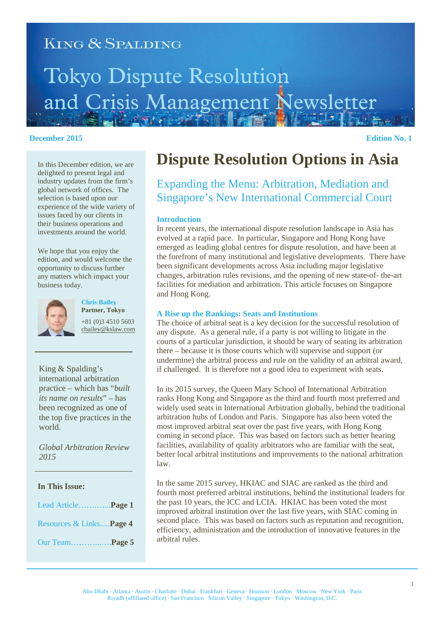# **KING & SPALDING Tokyo Dispute Resolution** and Crisis Management Newsletter

#### **December 2015** Edition No. 1

In this December edition, we are delighted to present legal and industry updates from the firm's global network of offices. The selection is based upon our experience of the wide variety of issues faced by our clients in their business operations and investments around the world.

We hope that you enjoy the edition, and would welcome the opportunity to discuss further any matters which impact your business today.



**Chris Bailey Partner, Tokyo** +81 (0)3 4510 5603 cbailey@kslaw.com

King & Spalding's international arbitration practice – which has "*built its name on results*" – has been recognized as one of the top five practices in the world.

*Global Arbitration Review 2015*

#### **In This Issue:**

| Lead Article <b>Page 1</b>      |  |
|---------------------------------|--|
| Resources & Links <b>Page 4</b> |  |
| Our Team <b>Page 5</b>          |  |

## **Dispute Resolution Options in Asia**

### Expanding the Menu: Arbitration, Mediation and Singapore's New International Commercial Court

#### **Introduction**

In recent years, the international dispute resolution landscape in Asia has evolved at a rapid pace. In particular, Singapore and Hong Kong have emerged as leading global centres for dispute resolution, and have been at the forefront of many institutional and legislative developments. There have been significant developments across Asia including major legislative changes, arbitration rules revisions, and the opening of new state-of- the-art facilities for mediation and arbitration. This article focuses on Singapore and Hong Kong.

#### **A Rise up the Rankings: Seats and Institutions**

The choice of arbitral seat is a key decision for the successful resolution of any dispute. As a general rule, if a party is not willing to litigate in the courts of a particular jurisdiction, it should be wary of seating its arbitration there – because it is those courts which will supervise and support (or undermine) the arbitral process and rule on the validity of an arbitral award, if challenged. It is therefore not a good idea to experiment with seats.

In its 2015 survey, the Queen Mary School of International Arbitration ranks Hong Kong and Singapore as the third and fourth most preferred and widely used seats in International Arbitration globally, behind the traditional arbitration hubs of London and Paris. Singapore has also been voted the most improved arbitral seat over the past five years, with Hong Kong coming in second place. This was based on factors such as better hearing facilities, availability of quality arbitrators who are familiar with the seat, better local arbitral institutions and improvements to the national arbitration law.

In the same 2015 survey, HKIAC and SIAC are ranked as the third and fourth most preferred arbitral institutions, behind the institutional leaders for the past 10 years, the ICC and LCIA. HKIAC has been voted the most improved arbitral institution over the last five years, with SIAC coming in second place. This was based on factors such as reputation and recognition, efficiency, administration and the introduction of innovative features in the arbitral rules.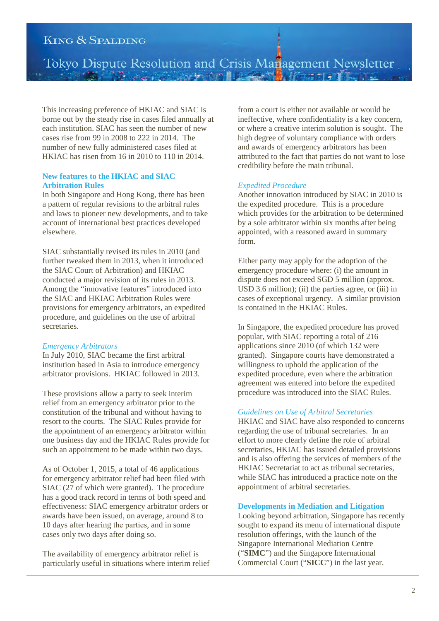Tokyo Dispute Resolution and Crisis Management Newsletter

This increasing preference of HKIAC and SIAC is borne out by the steady rise in cases filed annually at each institution. SIAC has seen the number of new cases rise from 99 in 2008 to 222 in 2014. The number of new fully administered cases filed at HKIAC has risen from 16 in 2010 to 110 in 2014.

#### **New features to the HKIAC and SIAC Arbitration Rules**

In both Singapore and Hong Kong, there has been a pattern of regular revisions to the arbitral rules and laws to pioneer new developments, and to take account of international best practices developed elsewhere.

SIAC substantially revised its rules in 2010 (and further tweaked them in 2013, when it introduced the SIAC Court of Arbitration) and HKIAC conducted a major revision of its rules in 2013. Among the "innovative features" introduced into the SIAC and HKIAC Arbitration Rules were provisions for emergency arbitrators, an expedited procedure, and guidelines on the use of arbitral secretaries.

#### *Emergency Arbitrators*

In July 2010, SIAC became the first arbitral institution based in Asia to introduce emergency arbitrator provisions. HKIAC followed in 2013.

These provisions allow a party to seek interim relief from an emergency arbitrator prior to the constitution of the tribunal and without having to resort to the courts. The SIAC Rules provide for the appointment of an emergency arbitrator within one business day and the HKIAC Rules provide for such an appointment to be made within two days.

As of October 1, 2015, a total of 46 applications for emergency arbitrator relief had been filed with SIAC (27 of which were granted). The procedure has a good track record in terms of both speed and effectiveness: SIAC emergency arbitrator orders or awards have been issued, on average, around 8 to 10 days after hearing the parties, and in some cases only two days after doing so.

The availability of emergency arbitrator relief is particularly useful in situations where interim relief

from a court is either not available or would be ineffective, where confidentiality is a key concern, or where a creative interim solution is sought. The high degree of voluntary compliance with orders and awards of emergency arbitrators has been attributed to the fact that parties do not want to lose credibility before the main tribunal.

#### *Expedited Procedure*

Another innovation introduced by SIAC in 2010 is the expedited procedure. This is a procedure which provides for the arbitration to be determined by a sole arbitrator within six months after being appointed, with a reasoned award in summary form.

Either party may apply for the adoption of the emergency procedure where: (i) the amount in dispute does not exceed SGD 5 million (approx. USD 3.6 million); (ii) the parties agree, or  $(iii)$  in cases of exceptional urgency. A similar provision is contained in the HKIAC Rules.

In Singapore, the expedited procedure has proved popular, with SIAC reporting a total of 216 applications since 2010 (of which 132 were granted). Singapore courts have demonstrated a willingness to uphold the application of the expedited procedure, even where the arbitration agreement was entered into before the expedited procedure was introduced into the SIAC Rules.

#### *Guidelines on Use of Arbitral Secretaries*

HKIAC and SIAC have also responded to concerns regarding the use of tribunal secretaries. In an effort to more clearly define the role of arbitral secretaries, HKIAC has issued detailed provisions and is also offering the services of members of the HKIAC Secretariat to act as tribunal secretaries, while SIAC has introduced a practice note on the appointment of arbitral secretaries.

#### **Developments in Mediation and Litigation**

Looking beyond arbitration, Singapore has recently sought to expand its menu of international dispute resolution offerings, with the launch of the Singapore International Mediation Centre ("**SIMC**") and the Singapore International Commercial Court ("**SICC**") in the last year.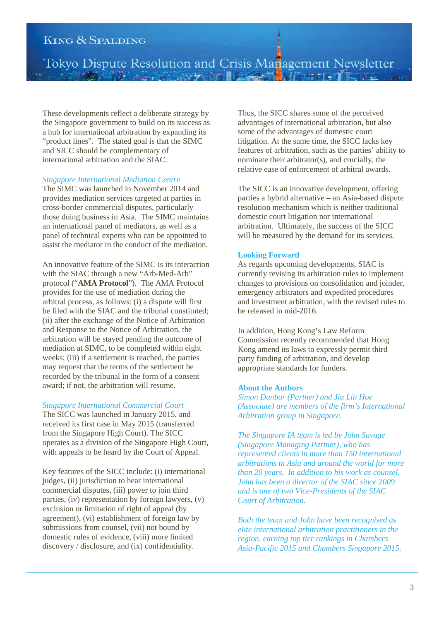Tokyo Dispute Resolution and Crisis Management Newsletter

These developments reflect a deliberate strategy by the Singapore government to build on its success as a hub for international arbitration by expanding its "product lines". The stated goal is that the SIMC and SICC should be complementary of international arbitration and the SIAC.

#### *Singapore International Mediation Centre*

The SIMC was launched in November 2014 and provides mediation services targeted at parties in cross-border commercial disputes, particularly those doing business in Asia. The SIMC maintains an international panel of mediators, as well as a panel of technical experts who can be appointed to assist the mediator in the conduct of the mediation.

An innovative feature of the SIMC is its interaction with the SIAC through a new "Arb-Med-Arb" protocol ("**AMA Protocol**"). The AMA Protocol provides for the use of mediation during the arbitral process, as follows: (i) a dispute will first be filed with the SIAC and the tribunal constituted; (ii) after the exchange of the Notice of Arbitration and Response to the Notice of Arbitration, the arbitration will be stayed pending the outcome of mediation at SIMC, to be completed within eight weeks; (iii) if a settlement is reached, the parties may request that the terms of the settlement be recorded by the tribunal in the form of a consent award; if not, the arbitration will resume.

#### *Singapore International Commercial Court*

The SICC was launched in January 2015, and received its first case in May 2015 (transferred from the Singapore High Court). The SICC operates as a division of the Singapore High Court, with appeals to be heard by the Court of Appeal.

Key features of the SICC include: (i) international judges, (ii) jurisdiction to hear international commercial disputes, (iii) power to join third parties, (iv) representation by foreign lawyers, (v) exclusion or limitation of right of appeal (by agreement), (vi) establishment of foreign law by submissions from counsel, (vii) not bound by domestic rules of evidence, (viii) more limited discovery / disclosure, and (ix) confidentiality.

Thus, the SICC shares some of the perceived advantages of international arbitration, but also some of the advantages of domestic court litigation. At the same time, the SICC lacks key features of arbitration, such as the parties' ability to nominate their arbitrator(s), and crucially, the relative ease of enforcement of arbitral awards.

The SICC is an innovative development, offering parties a hybrid alternative – an Asia-based dispute resolution mechanism which is neither traditional domestic court litigation nor international arbitration. Ultimately, the success of the SICC will be measured by the demand for its services.

#### **Looking Forward**

As regards upcoming developments, SIAC is currently revising its arbitration rules to implement changes to provisions on consolidation and joinder, emergency arbitrators and expedited procedures and investment arbitration, with the revised rules to be released in mid-2016.

In addition, Hong Kong's Law Reform Commission recently recommended that Hong Kong amend its laws to expressly permit third party funding of arbitration, and develop appropriate standards for funders.

#### **About the Authors**

*Simon Dunbar (Partner) and Jia Lin Hoe (Associate) are members of the firm's International Arbitration group in Singapore.*

*The Singapore IA team is led by John Savage (Singapore Managing Partner), who has represented clients in more than 150 international arbitrations in Asia and around the world for more than 20 years. In addition to his work as counsel, John has been a director of the SIAC since 2009 and is one of two Vice-Presidents of the SIAC Court of Arbitration.* 

*Both the team and John have been recognised as elite international arbitration practitioners in the region, earning top tier rankings in Chambers Asia-Pacific 2015 and Chambers Singapore 2015.*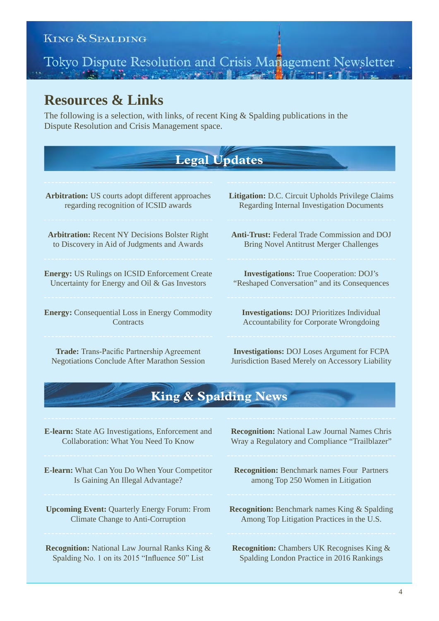# Tokyo Dispute Resolution and Crisis Management Newsletter

### **Resources & Links**

The following is a selection, with links, of recent King & Spalding publications in the Dispute Resolution and Crisis Management space.

## **Legal Updates**

**Arbitration:** US courts adopt different approaches regarding recognition of ICSID awards

**Arbitration:** Recent NY Decisions Bolster Right to Discovery in Aid of Judgments and Awards

**Energy:** US Rulings on ICSID Enforcement Create Uncertainty for Energy and Oil & Gas Investors

**Energy:** Consequential Loss in Energy Commodity **Contracts** 

**Trade:** Trans-Pacific Partnership Agreement Negotiations Conclude After Marathon Session **Litigation:** D.C. Circuit Upholds Privilege Claims Regarding Internal Investigation Documents

**Anti-Trust:** Federal Trade Commission and DOJ Bring Novel Antitrust Merger Challenges

**Investigations:** True Cooperation: DOJ's "Reshaped Conversation" and its Consequences

**Investigations:** DOJ Prioritizes Individual Accountability for Corporate Wrongdoing

**Investigations:** DOJ Loses Argument for FCPA Jurisdiction Based Merely on Accessory Liability

## **King & Spalding News**

**E-learn:** State AG Investigations, Enforcement and Collaboration: What You Need To Know

**E-learn:** What Can You Do When Your Competitor Is Gaining An Illegal Advantage?

**Upcoming Event:** Quarterly Energy Forum: From Climate Change to Anti-Corruption

**Recognition:** National Law Journal Ranks King & Spalding No. 1 on its 2015 "Influence 50" List

**Recognition:** National Law Journal Names Chris Wray a Regulatory and Compliance "Trailblazer"

- **Recognition:** Benchmark names Four Partners among Top 250 Women in Litigation
- **Recognition:** Benchmark names King & Spalding Among Top Litigation Practices in the U.S.

**Recognition:** Chambers UK Recognises King & Spalding London Practice in 2016 Rankings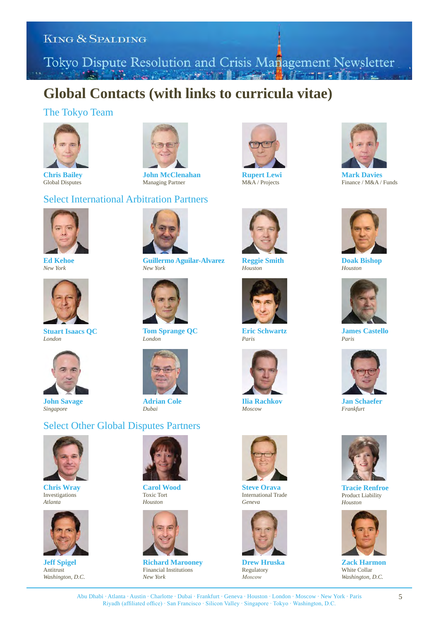Tokyo Dispute Resolution and Crisis Management Newsletter

## **Global Contacts (with links to curricula vitae)**

#### The Tokyo Team



**Chris Bailey** Global Disputes



**John McClenahan** Managing Partner

#### Select International Arbitration Partners



**Ed Kehoe** *New York*



**Stuart Isaacs QC** *London*



**John Savage** *Singapore*



**Guillermo Aguilar-Alvarez** *New York*



**Tom Sprange QC** *London*



**Adrian Cole** *Dubai*

#### Select Other Global Disputes Partners



**Chris Wray** Investigations *Atlanta*



**Jeff Spigel Antitrust** *Washington, D.C.*



**Carol Wood** Toxic Tort *Houston*



**Richard Marooney** Financial Institutions *New York*



**Rupert Lewi** M&A / Projects



**Reggie Smith** *Houston*



**Eric Schwartz** *Paris*



**Ilia Rachkov** *Moscow*



**Steve Orava** International Trade *Geneva*



**Drew Hruska** Regulatory  $Moscov$ 



**Mark Davies** Finance / M&A / Funds



**Doak Bishop** *Houston*



**James Castello** *Paris*



**Jan Schaefer** *Frankfurt*



**Tracie Renfroe** Product Liability *Houston*



**Zack Harmon** White Collar *Washington, D.C.*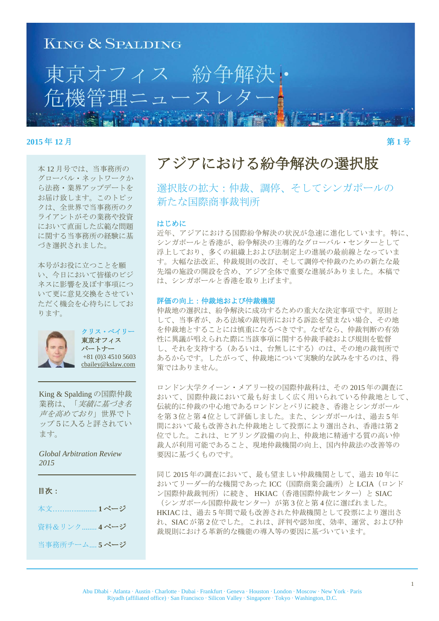

#### **2015年12月** 第1号

本12月号では、当事務所の グローバル・ネットワークか ら法務・業界アップデートを お届け致します。このトピッ クは、全世界で当事務所のク ライアントがその業務や投資 において直面した広範な問題 に関する当事務所の経験に基 づき選択されました。

本号がお役に立つことを願 い、今日において皆様のビジ ネスに影響を及ぼす事項につ いて更に意見交換をさせてい ただく機会を心待ちにしてお ります。



クリス・ベイリー 東京オフィス パートナー +81 (0)3 4510 5603 cbailey@kslaw.com

King & Spalding の国際仲裁 業務は、「実績に基づき名 **声を高めており」世界でト** ップ5に入ると評されてい ます。

*Global Arbitration Review 2015* 

#### 目次:

本文....................1ページ 資料&リンク ........ 4 ページ 当事務所チーム....5ページ アジアにおける紛争解決の選択肢

選択肢の拡大:仲裁、調停、そしてシンガポールの 新たな国際商事裁判所

#### はじめに

近年、アジアにおける国際紛争解決の状況が急速に進化しています。特に、 シンガポールと香港が、紛争解決の主導的なグローバル・センターとして 浮上しており、多くの組織上および法制定上の進展の最前線となっていま す。大幅な法改正、仲裁規則の改訂、そして調停や仲裁のための新たな最 先端の施設の開設を含め、アジア全体で重要な進展がありました。本稿で は、シンガポールと香港を取り上げます。

#### 評価の向上:仲裁地および仲裁機関

仲裁地の選択は、紛争解決に成功するための重大な決定事項です。原則と して、当事者が、ある法域の裁判所における訴訟を望まない場合、その地 を仲裁地とすることには慎重になるべきです。なぜなら、仲裁判断の有効 性に異議が唱えられた際に当該事項に関する仲裁手続および規則を監督 し、それを支持する(あるいは、台無しにする)のは、その地の裁判所で あるからです。したがって、仲裁地について実験的な試みをするのは、得 策ではありません。

ロンドン大学クイーン・メアリー校の国際仲裁科は、その2015年の調査に おいて、国際仲裁において最も好ましく広く用いられている仲裁地として、 伝統的に仲裁の中心地であるロンドンとパリに続き、香港とシンガポール を第3位と第4位として評価しました。また、シンガポールは、過去5年 間において最も改善された仲裁地として投票により選出され、香港は第2 位でした。これは、ヒアリング設備の向上、仲裁地に精通する質の高い仲 裁人が利用可能であること、現地仲裁機関の向上、国内仲裁法の改善等の 要因に基づくものです。

同じ2015年の調査において、最も望ましい仲裁機関として、過去10年に おいてリーダー的な機関であった ICC (国際商業会議所)と LCIA (ロンド ン国際仲裁裁判所)に続き、HKIAC (香港国際仲裁センター)と SIAC (シンガポール国際仲裁センター)が第3位と第4位に選ばれました。 HKIACは、過去5年間で最も改善された仲裁機関として投票により選出さ れ、SIACが第2位でした。これは、評判や認知度、効率、運営、および仲 裁規則における革新的な機能の導入等の要因に基づいています。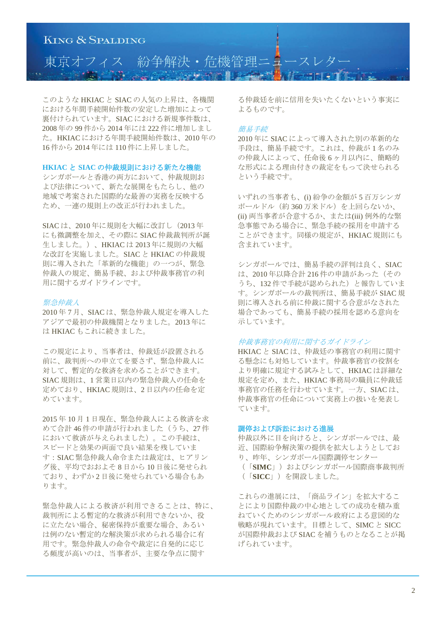

このような HKIAC と SIAC の人気の上昇は、各機関 における年間手続開始件数の安定した増加によって 裏付けられています。SIACにおける新規事件数は、 2008年の99件から2014年には222件に増加しまし た。HKIACにおける年間手続開始件数は、2010年の 16件から2014年には110件に上昇しました。

#### **HKIAC と SIAC の仲裁規則における新たな機能**

シンガポールと香港の両方において、仲裁規則お よび法律について、新たな展開をもたらし、他の 地域で考案された国際的な最善の実務を反映する ため、一連の規則上の改正が行われました。

SIAC は、2010年に規則を大幅に改訂し (2013年 にも微調整を加え、その際に SIAC 仲裁裁判所が誕 生しました。)、HKIACは2013年に規則の大幅 な改訂を実施しました。SIAC と HKIAC の仲裁規 則に導入された「革新的な機能」の一つが、緊急 仲裁人の規定、簡易手続、および仲裁事務官の利 用に関するガイドラインです。

#### **堅急仲裁人**

2010年7月、SIACは、緊急仲裁人規定を導入した アジアで最初の仲裁機関となりました。2013年に は HKIAC もこれに続きました。

この規定により、当事者は、仲裁廷が設置される 前に、裁判所への申立てを要さず、緊急仲裁人に 対して、暫定的な救済を求めることができます。 SIAC 規則は、1営業日以内の緊急仲裁人の任命を 定めており、HKIAC 規則は、2日以内の任命を定 めています。

2015年10月1日現在、緊急仲裁人による救済を求 めて合計46件の申請が行われました(うち、27件 において救済が与えられました)。この手続は、 スピードと効果の両面で良い結果を残していま す: SIAC 緊急仲裁人命令または裁定は、ヒアリン グ後、平均でおおよそ8日から10日後に発せられ ており、わずか2日後に発せられている場合もあ ります。

緊急仲裁人による救済が利用できることは、特に、 裁判所による暫定的な救済が利用できないか、役 に立たない場合、秘密保持が重要な場合、あるい は例のない暫定的な解決策が求められる場合に有 用です。緊急仲裁人の命令や裁定に自発的に応じ る頻度が高いのは、当事者が、主要な争点に関す

る仲裁廷を前に信用を失いたくないという事実に よるものです。

#### 簡易手続

2010年に SIAC によって導入された別の革新的な 手段は、簡易手続です。これは、仲裁が1名のみ の仲裁人によって、任命後6ヶ月以内に、簡略的 な形式による理由付きの裁定をもって決せられる という手続です。

いずれの当事者も、(i) 紛争の金額が5百万シンガ ポールドル (約360万米ドル)を上回らないか、 (ii) 両当事者が合意するか、または(iii) 例外的な緊 急事熊である場合に、緊急手続の採用を申請する ことができます。同様の規定が、HKIAC規則にも 含まれています。

シンガポールでは、簡易手続の評判は良く、SIAC は、2010年以降合計 216 件の申請があった (その うち、132件で手続が認められた)と報告していま す。シンガポールの裁判所は、簡易手続が SIAC 規 則に導入される前に仲裁に関する合意がなされた 場合であっても、簡易手続の採用を認める意向を 示しています。

#### 仲裁事務官の利用に関するガイドライン

HKIAC と SIAC は、仲裁廷の事務官の利用に関す る懸念にも対処しています。仲裁事務官の役割を より明確に規定する試みとして、HKIACは詳細な 規定を定め、また、HKIAC 事務局の職員に仲裁廷 事務官の任務を行わせています。一方、SIACは、 仲裁事務官の任命について実務上の扱いを発表し ています。

#### 調停および訴訟における進展

仲裁以外に目を向けると、シンガポールでは、最 近、国際紛争解決策の提供を拡大しようとしてお り、昨年、シンガポール国際調停センター (「SIMC」)およびシンガポール国際商事裁判所 (「SICC」)を開設しました。

これらの進展には、「商品ライン」を拡大するこ とにより国際仲裁の中心地としての成功を積み重 ねていくためのシンガポール政府による意図的な 戦略が現れています。目標として、SIMCとSICC が国際仲裁および SIAC を補うものとなることが掲 げられています。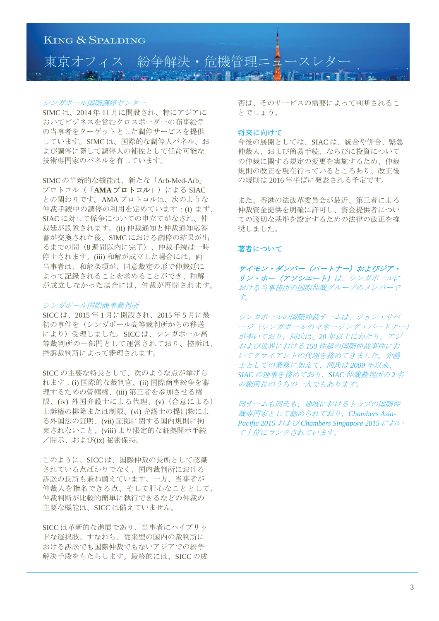

#### シンガポール国際調停センター

SIMC は、2014年11月に開設され、特にアジアに おいてビジネスを営れクロスボーダーの商事紛争 の当事者をターゲットとした調停サービスを提供 しています。SIMCは、国際的な調停人パネル、お よび調停に際して調停人の補佐として任命可能な 技術専門家のパネルを有しています。

SIMCの革新的な機能は、新たな「Arb-Med-Arb」 プロトコル (「AMA プロトコル」) による SIAC との関わりです。AMAプロトコルは、次のような 仲裁手続中の調停の利用を定めています: (i) まず、 SIACに対して係争についての申立てがなされ、仲 裁廷が設置されます。(ii) 仲裁通知と仲裁通知応答 書が交換された後、SIMCにおける調停の結果が出 るまでの間 (8 週間以内に完了)、仲裁手続は一時 停止されます。(iii) 和解が成立した場合には、両 当事者は、和解条項が、同意裁定の形で仲裁廷に よって記録されることを求めることができ、和解 が成立しなかった場合には、仲裁が再開されます。

#### シンガポール国際商事裁判所

SICC は、2015 年 1 月に開設され、2015 年 5 月に最 初の事件を(シンガポール高等裁判所からの移送 により)受理しました。SICCは、シンガポール高 等裁判所の一部門として運営されており、控訴は、 控訴裁判所によって審理されます。

SICCの主要な特長として、次のような点が挙げら れます: (i) 国際的な裁判官、(ii) 国際商事紛争を審 理するための管轄権、(iii) 第三者を参加させる権 限、(iv) 外国弁護士による代理、(v) (合意による) 上訴権の排除または制限、(vi) 弁護士の提出物によ る外国法の証明、(vii) 証拠に関する国内規則に拘 束されないこと、(viii) より限定的な証拠開示手続 /開示、および(ix) 秘密保持。

このように、SICCは、国際仲裁の長所として認識 されている点ばかりでなく、国内裁判所における 訴訟の長所も兼ね備えています。一方、当事者が 仲裁人を指名できる点、そして肝心なこととして、 仲裁判断が比較的簡単に執行できるなどの仲裁の 主要な機能は、SICCは備えていません。

SICCは革新的な進展であり、当事者にハイブリッ ドな選択肢、すなわち、従来型の国内の裁判所に おける訴訟でも国際仲裁でもないアジアでの紛争 解決手段をもたらします。最終的には、SICCの成 否は、そのサービスの需要によって判断されるこ とでしょう。

#### 将来に向けて

今後の展開としては、SIACは、統合や併合、緊急 仲裁人、および簡易手続、ならびに投資について の仲裁に関する規定の変更を実施するため、仲裁 規則の改正を現在行っているところあり、改正後 の規則は2016年半ばに発表される予定です。

また、香港の法改革委員会が最近、第三者による 仲裁資金提供を明確に許可し、資金提供者につい ての適切な基準を設定するための法律の改正を推 奨しました。

#### 著者について

サイモン・ダンバー (パートナー) およびジア・ リン・ホー (アソシエート) は、シンガポールに おける当事務所の国際仲裁グループのメンバーで 方。

シンガポールの国際仲裁チームは、ジョン・サベ ージ (シンガポールのマネージング・パートナー) が率いており、同氏は、20 年以上にわたり、アジ および世界における150 件超の国際仲裁事件にお いてクライアントの代理を務めてきました。弁護 士としての業務に加えて、同氏は2009年以来、 SIAC の理事を務めており、SIAC 仲裁裁判所の2名 の副所長のうちの一人でもあります。

同チームも同氏も、地域におけるトップの国際仲 ᑓ㛛ᐙ࡚ࡋㄆࠊࡾ࠾࡚ࢀࡽࡵ*Chambers Asia-Pacific 2015 および Chambers Singapore 2015 におい* てト位にランクされています。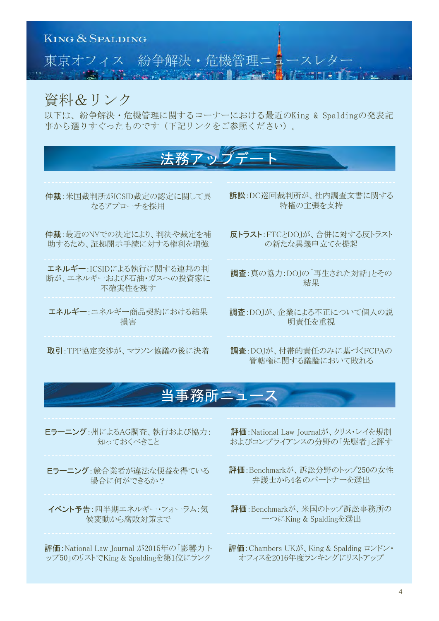

## 資料&リンク

以下は、紛争解決・危機管理に関するコーナーにおける最近のKing & Spaldingの発表記 事から選りすぐったものです(下記リンクをご参照ください)。



## 当事務所ニュース

Eラーニング:州によるAG調査、執行および協力: 知っておくべきこと

Eラーニング:競合業者が違法な便益を得ている 場合に何ができるか?

イベント予告:四半期エネルギー・フォーラム:気 候変動から腐敗対策まで

評価: National Law Journal が2015年の「影響力ト ップ50」のリストでKing & Spaldingを第1位にランク

評価: National Law Iournalが、クリス・レイを規制 およびコンプライアンスの分野の「先駆者」と評す

- 評価: Benchmarkが、訴訟分野のトップ250の女性 弁護士から4名のパートナーを選出
- 評価:Benchmarkが、米国のトップ訴訟事務所の 一つにKing & Spaldingを選出

評価: Chambers UKが、King & Spalding ロンドン・ オフィスを2016年度ランキングにリストアップ